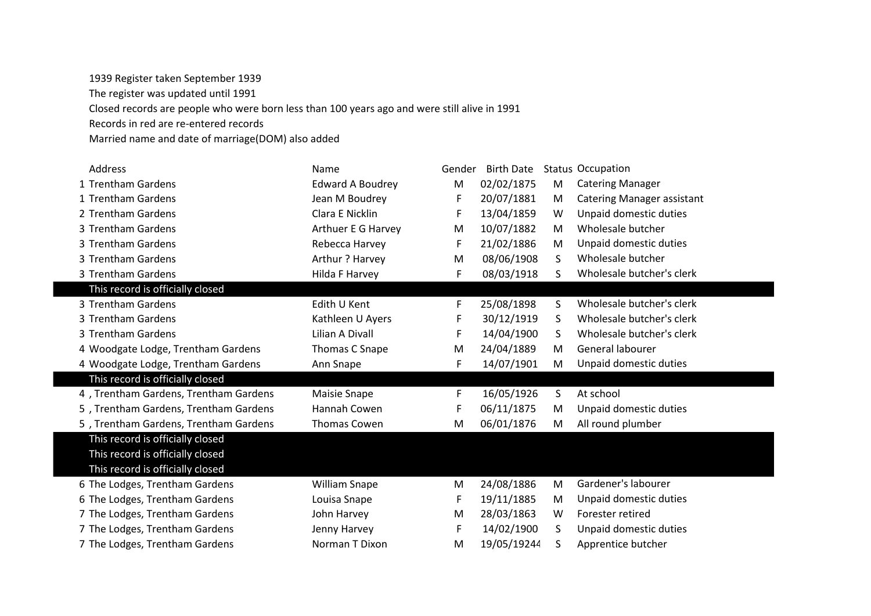1939 Register taken September 1939

The register was updated until 1991

Closed records are people who were born less than 100 years ago and were still alive in 1991

Records in red are re-entered records

Married name and date of marriage(DOM) also added

| <b>Address</b>                        | Name                    | Gender | <b>Birth Date</b> |    | <b>Status Occupation</b>          |
|---------------------------------------|-------------------------|--------|-------------------|----|-----------------------------------|
| 1 Trentham Gardens                    | <b>Edward A Boudrey</b> | M      | 02/02/1875        | M  | <b>Catering Manager</b>           |
| 1 Trentham Gardens                    | Jean M Boudrey          | F      | 20/07/1881        | M  | <b>Catering Manager assistant</b> |
| 2 Trentham Gardens                    | Clara E Nicklin         | F      | 13/04/1859        | W  | Unpaid domestic duties            |
| 3 Trentham Gardens                    | Arthuer E G Harvey      | M      | 10/07/1882        | M  | Wholesale butcher                 |
| 3 Trentham Gardens                    | Rebecca Harvey          | F      | 21/02/1886        | M  | Unpaid domestic duties            |
| 3 Trentham Gardens                    | Arthur? Harvey          | M      | 08/06/1908        | S. | Wholesale butcher                 |
| 3 Trentham Gardens                    | Hilda F Harvey          | F      | 08/03/1918        | S. | Wholesale butcher's clerk         |
| This record is officially closed      |                         |        |                   |    |                                   |
| 3 Trentham Gardens                    | Edith U Kent            | F      | 25/08/1898        | S  | Wholesale butcher's clerk         |
| 3 Trentham Gardens                    | Kathleen U Ayers        | F      | 30/12/1919        | S. | Wholesale butcher's clerk         |
| 3 Trentham Gardens                    | Lilian A Divall         | F      | 14/04/1900        | S. | Wholesale butcher's clerk         |
| 4 Woodgate Lodge, Trentham Gardens    | Thomas C Snape          | M      | 24/04/1889        | M  | General labourer                  |
| 4 Woodgate Lodge, Trentham Gardens    | Ann Snape               | F      | 14/07/1901        | M  | Unpaid domestic duties            |
| This record is officially closed      |                         |        |                   |    |                                   |
| 4, Trentham Gardens, Trentham Gardens | <b>Maisie Snape</b>     | F      | 16/05/1926        | S  | At school                         |
| 5, Trentham Gardens, Trentham Gardens | Hannah Cowen            | F      | 06/11/1875        | M  | Unpaid domestic duties            |
| 5, Trentham Gardens, Trentham Gardens | Thomas Cowen            | M      | 06/01/1876        | M  | All round plumber                 |
| This record is officially closed      |                         |        |                   |    |                                   |
| This record is officially closed      |                         |        |                   |    |                                   |
| This record is officially closed      |                         |        |                   |    |                                   |
| 6 The Lodges, Trentham Gardens        | <b>William Snape</b>    | M      | 24/08/1886        | M  | Gardener's labourer               |
| 6 The Lodges, Trentham Gardens        | Louisa Snape            | F      | 19/11/1885        | M  | Unpaid domestic duties            |
| 7 The Lodges, Trentham Gardens        | John Harvey             | M      | 28/03/1863        | W  | Forester retired                  |
| 7 The Lodges, Trentham Gardens        | Jenny Harvey            | F      | 14/02/1900        | S  | Unpaid domestic duties            |
|                                       |                         |        |                   |    |                                   |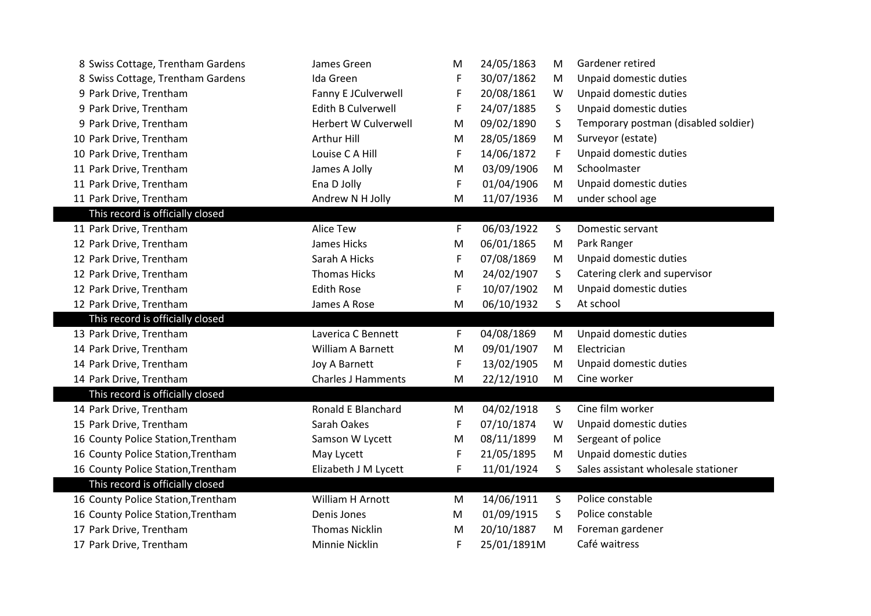| 8 Swiss Cottage, Trentham Gardens  | James Green                 | M | 24/05/1863  | M | Gardener retired                     |
|------------------------------------|-----------------------------|---|-------------|---|--------------------------------------|
| 8 Swiss Cottage, Trentham Gardens  | Ida Green                   | F | 30/07/1862  | M | Unpaid domestic duties               |
| 9 Park Drive, Trentham             | Fanny E JCulverwell         | F | 20/08/1861  | W | Unpaid domestic duties               |
| 9 Park Drive, Trentham             | <b>Edith B Culverwell</b>   | F | 24/07/1885  | S | Unpaid domestic duties               |
| 9 Park Drive, Trentham             | <b>Herbert W Culverwell</b> | M | 09/02/1890  | S | Temporary postman (disabled soldier) |
| 10 Park Drive, Trentham            | Arthur Hill                 | M | 28/05/1869  | M | Surveyor (estate)                    |
| 10 Park Drive, Trentham            | Louise C A Hill             | F | 14/06/1872  | F | Unpaid domestic duties               |
| 11 Park Drive, Trentham            | James A Jolly               | M | 03/09/1906  | M | Schoolmaster                         |
| 11 Park Drive, Trentham            | Ena D Jolly                 | F | 01/04/1906  | M | Unpaid domestic duties               |
| 11 Park Drive, Trentham            | Andrew N H Jolly            | M | 11/07/1936  | M | under school age                     |
| This record is officially closed   |                             |   |             |   |                                      |
| 11 Park Drive, Trentham            | <b>Alice Tew</b>            | F | 06/03/1922  | S | Domestic servant                     |
| 12 Park Drive, Trentham            | James Hicks                 | M | 06/01/1865  | M | Park Ranger                          |
| 12 Park Drive, Trentham            | Sarah A Hicks               | F | 07/08/1869  | M | Unpaid domestic duties               |
| 12 Park Drive, Trentham            | <b>Thomas Hicks</b>         | M | 24/02/1907  | S | Catering clerk and supervisor        |
| 12 Park Drive, Trentham            | <b>Edith Rose</b>           | F | 10/07/1902  | M | Unpaid domestic duties               |
| 12 Park Drive, Trentham            | James A Rose                | M | 06/10/1932  | S | At school                            |
| This record is officially closed   |                             |   |             |   |                                      |
| 13 Park Drive, Trentham            | Laverica C Bennett          | F | 04/08/1869  | M | Unpaid domestic duties               |
| 14 Park Drive, Trentham            | <b>William A Barnett</b>    | M | 09/01/1907  | M | Electrician                          |
| 14 Park Drive, Trentham            | Joy A Barnett               | F | 13/02/1905  | M | Unpaid domestic duties               |
| 14 Park Drive, Trentham            | <b>Charles J Hamments</b>   | M | 22/12/1910  | M | Cine worker                          |
| This record is officially closed   |                             |   |             |   |                                      |
| 14 Park Drive, Trentham            | Ronald E Blanchard          | M | 04/02/1918  | S | Cine film worker                     |
| 15 Park Drive, Trentham            | Sarah Oakes                 | F | 07/10/1874  | W | Unpaid domestic duties               |
| 16 County Police Station, Trentham | Samson W Lycett             | M | 08/11/1899  | M | Sergeant of police                   |
| 16 County Police Station, Trentham | May Lycett                  | F | 21/05/1895  | M | Unpaid domestic duties               |
| 16 County Police Station, Trentham | Elizabeth J M Lycett        | F | 11/01/1924  | S | Sales assistant wholesale stationer  |
| This record is officially closed   |                             |   |             |   |                                      |
| 16 County Police Station, Trentham | William H Arnott            | M | 14/06/1911  | S | Police constable                     |
| 16 County Police Station, Trentham | Denis Jones                 | M | 01/09/1915  | S | Police constable                     |
| 17 Park Drive, Trentham            | <b>Thomas Nicklin</b>       | M | 20/10/1887  | M | Foreman gardener                     |
| 17 Park Drive, Trentham            | Minnie Nicklin              | F | 25/01/1891M |   | Café waitress                        |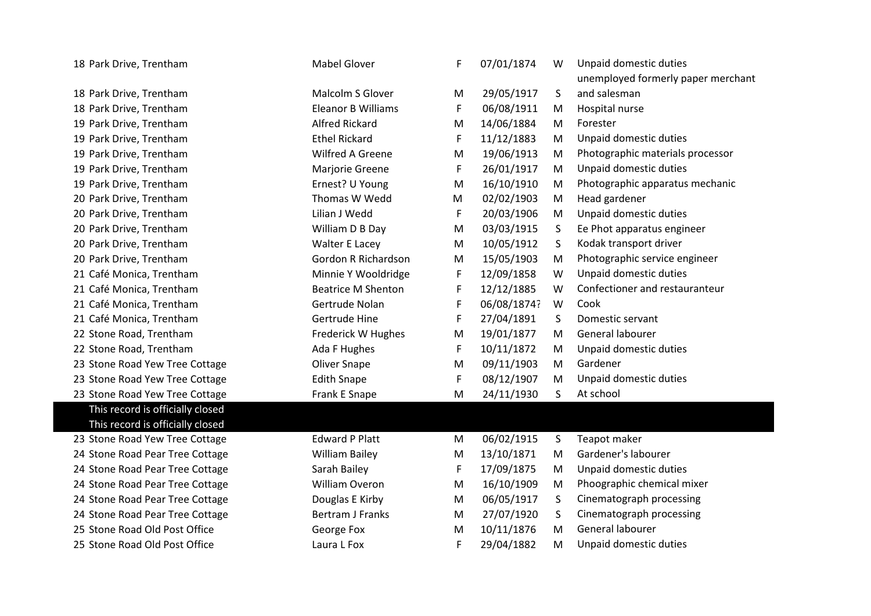| 18 Park Drive, Trentham          | <b>Mabel Glover</b>       | F           | 07/01/1874  | W            | Unpaid domestic duties             |
|----------------------------------|---------------------------|-------------|-------------|--------------|------------------------------------|
|                                  |                           |             |             |              | unemployed formerly paper merchant |
| 18 Park Drive, Trentham          | <b>Malcolm S Glover</b>   | M           | 29/05/1917  | S            | and salesman                       |
| 18 Park Drive, Trentham          | <b>Eleanor B Williams</b> | F           | 06/08/1911  | M            | Hospital nurse                     |
| 19 Park Drive, Trentham          | <b>Alfred Rickard</b>     | M           | 14/06/1884  | M            | Forester                           |
| 19 Park Drive, Trentham          | <b>Ethel Rickard</b>      | F           | 11/12/1883  | M            | Unpaid domestic duties             |
| 19 Park Drive, Trentham          | Wilfred A Greene          | M           | 19/06/1913  | M            | Photographic materials processor   |
| 19 Park Drive, Trentham          | Marjorie Greene           | F           | 26/01/1917  | M            | Unpaid domestic duties             |
| 19 Park Drive, Trentham          | Ernest? U Young           | M           | 16/10/1910  | M            | Photographic apparatus mechanic    |
| 20 Park Drive, Trentham          | Thomas W Wedd             | M           | 02/02/1903  | M            | Head gardener                      |
| 20 Park Drive, Trentham          | Lilian J Wedd             | $\mathsf F$ | 20/03/1906  | M            | Unpaid domestic duties             |
| 20 Park Drive, Trentham          | William D B Day           | M           | 03/03/1915  | S            | Ee Phot apparatus engineer         |
| 20 Park Drive, Trentham          | Walter E Lacey            | M           | 10/05/1912  | S            | Kodak transport driver             |
| 20 Park Drive, Trentham          | Gordon R Richardson       | M           | 15/05/1903  | M            | Photographic service engineer      |
| 21 Café Monica, Trentham         | Minnie Y Wooldridge       | $\mathsf F$ | 12/09/1858  | W            | Unpaid domestic duties             |
| 21 Café Monica, Trentham         | <b>Beatrice M Shenton</b> | F           | 12/12/1885  | W            | Confectioner and restauranteur     |
| 21 Café Monica, Trentham         | Gertrude Nolan            | F           | 06/08/1874? | W            | Cook                               |
| 21 Café Monica, Trentham         | Gertrude Hine             | F           | 27/04/1891  | S            | Domestic servant                   |
| 22 Stone Road, Trentham          | Frederick W Hughes        | M           | 19/01/1877  | M            | General labourer                   |
| 22 Stone Road, Trentham          | Ada F Hughes              | F           | 10/11/1872  | M            | Unpaid domestic duties             |
| 23 Stone Road Yew Tree Cottage   | Oliver Snape              | M           | 09/11/1903  | M            | Gardener                           |
| 23 Stone Road Yew Tree Cottage   | <b>Edith Snape</b>        | F           | 08/12/1907  | M            | Unpaid domestic duties             |
| 23 Stone Road Yew Tree Cottage   | Frank E Snape             | M           | 24/11/1930  | S            | At school                          |
| This record is officially closed |                           |             |             |              |                                    |
| This record is officially closed |                           |             |             |              |                                    |
| 23 Stone Road Yew Tree Cottage   | <b>Edward P Platt</b>     | M           | 06/02/1915  | S            | Teapot maker                       |
| 24 Stone Road Pear Tree Cottage  | <b>William Bailey</b>     | M           | 13/10/1871  | M            | Gardener's labourer                |
| 24 Stone Road Pear Tree Cottage  | Sarah Bailey              | $\mathsf F$ | 17/09/1875  | M            | Unpaid domestic duties             |
| 24 Stone Road Pear Tree Cottage  | William Overon            | M           | 16/10/1909  | M            | Phoographic chemical mixer         |
| 24 Stone Road Pear Tree Cottage  | Douglas E Kirby           | M           | 06/05/1917  | $\mathsf{S}$ | Cinematograph processing           |
| 24 Stone Road Pear Tree Cottage  | <b>Bertram J Franks</b>   | M           | 27/07/1920  | S            | Cinematograph processing           |
| 25 Stone Road Old Post Office    | George Fox                | M           | 10/11/1876  | M            | General labourer                   |
| 25 Stone Road Old Post Office    | Laura L Fox               | F           | 29/04/1882  | M            | Unpaid domestic duties             |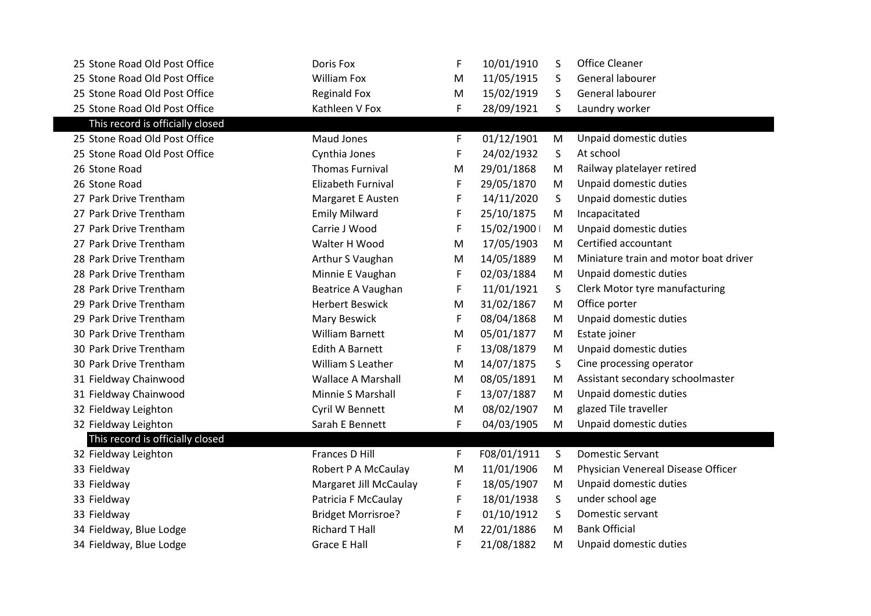| 25 Stone Road Old Post Office    | Doris Fox                 | F           | 10/01/1910  | S | <b>Office Cleaner</b>                 |
|----------------------------------|---------------------------|-------------|-------------|---|---------------------------------------|
| 25 Stone Road Old Post Office    | William Fox               | M           | 11/05/1915  | S | General labourer                      |
| 25 Stone Road Old Post Office    | <b>Reginald Fox</b>       | M           | 15/02/1919  | S | General labourer                      |
| 25 Stone Road Old Post Office    | Kathleen V Fox            | F           | 28/09/1921  | S | Laundry worker                        |
| This record is officially closed |                           |             |             |   |                                       |
| 25 Stone Road Old Post Office    | <b>Maud Jones</b>         | F           | 01/12/1901  | M | Unpaid domestic duties                |
| 25 Stone Road Old Post Office    | Cynthia Jones             | F           | 24/02/1932  | S | At school                             |
| 26 Stone Road                    | <b>Thomas Furnival</b>    | M           | 29/01/1868  | M | Railway platelayer retired            |
| 26 Stone Road                    | <b>Elizabeth Furnival</b> | F           | 29/05/1870  | M | Unpaid domestic duties                |
| 27 Park Drive Trentham           | Margaret E Austen         | F           | 14/11/2020  | S | Unpaid domestic duties                |
| 27 Park Drive Trentham           | <b>Emily Milward</b>      | F           | 25/10/1875  | M | Incapacitated                         |
| 27 Park Drive Trentham           | Carrie J Wood             | F           | 15/02/1900  | M | Unpaid domestic duties                |
| 27 Park Drive Trentham           | Walter H Wood             | M           | 17/05/1903  | M | Certified accountant                  |
| 28 Park Drive Trentham           | Arthur S Vaughan          | M           | 14/05/1889  | M | Miniature train and motor boat driver |
| 28 Park Drive Trentham           | Minnie E Vaughan          | F           | 02/03/1884  | M | Unpaid domestic duties                |
| 28 Park Drive Trentham           | Beatrice A Vaughan        | F           | 11/01/1921  | S | Clerk Motor tyre manufacturing        |
| 29 Park Drive Trentham           | <b>Herbert Beswick</b>    | M           | 31/02/1867  | M | Office porter                         |
| 29 Park Drive Trentham           | Mary Beswick              | $\mathsf F$ | 08/04/1868  | M | Unpaid domestic duties                |
| 30 Park Drive Trentham           | <b>William Barnett</b>    | M           | 05/01/1877  | M | Estate joiner                         |
| 30 Park Drive Trentham           | <b>Edith A Barnett</b>    | F           | 13/08/1879  | M | Unpaid domestic duties                |
| 30 Park Drive Trentham           | William S Leather         | M           | 14/07/1875  | S | Cine processing operator              |
| 31 Fieldway Chainwood            | <b>Wallace A Marshall</b> | M           | 08/05/1891  | M | Assistant secondary schoolmaster      |
| 31 Fieldway Chainwood            | Minnie S Marshall         | F           | 13/07/1887  | M | Unpaid domestic duties                |
| 32 Fieldway Leighton             | Cyril W Bennett           | M           | 08/02/1907  | M | glazed Tile traveller                 |
| 32 Fieldway Leighton             | Sarah E Bennett           | F           | 04/03/1905  | M | Unpaid domestic duties                |
| This record is officially closed |                           |             |             |   |                                       |
| 32 Fieldway Leighton             | Frances D Hill            | F           | F08/01/1911 | S | <b>Domestic Servant</b>               |
| 33 Fieldway                      | Robert P A McCaulay       | M           | 11/01/1906  | M | Physician Venereal Disease Officer    |
| 33 Fieldway                      | Margaret Jill McCaulay    | F           | 18/05/1907  | M | Unpaid domestic duties                |
| 33 Fieldway                      | Patricia F McCaulay       | F           | 18/01/1938  | S | under school age                      |
| 33 Fieldway                      | <b>Bridget Morrisroe?</b> | F           | 01/10/1912  | S | Domestic servant                      |
| 34 Fieldway, Blue Lodge          | <b>Richard T Hall</b>     | M           | 22/01/1886  | M | <b>Bank Official</b>                  |
| 34 Fieldway, Blue Lodge          | <b>Grace E Hall</b>       | $\mathsf F$ | 21/08/1882  | M | Unpaid domestic duties                |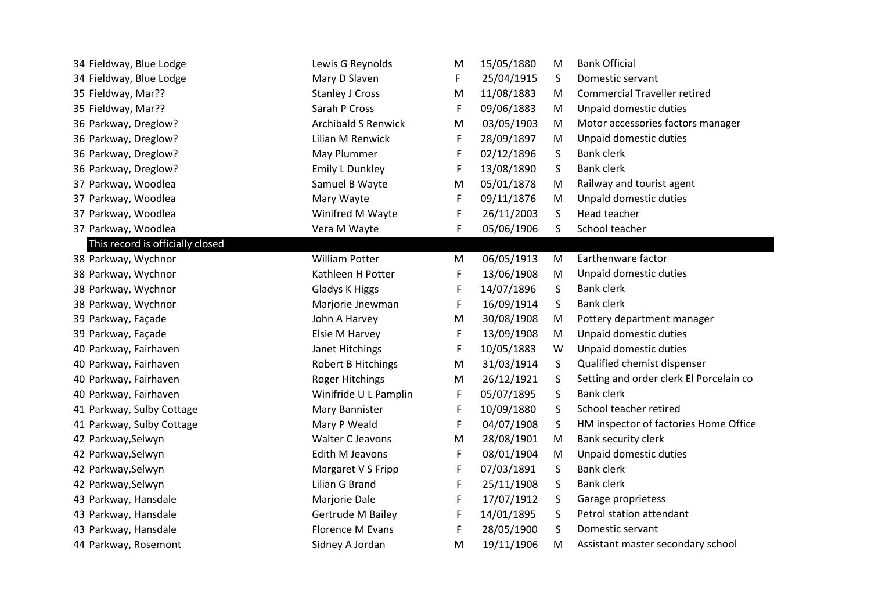| 34 Fieldway, Blue Lodge          | Lewis G Reynolds           | М  | 15/05/1880 | M  | <b>Bank Official</b>                    |
|----------------------------------|----------------------------|----|------------|----|-----------------------------------------|
| 34 Fieldway, Blue Lodge          | Mary D Slaven              | F. | 25/04/1915 | S  | Domestic servant                        |
| 35 Fieldway, Mar??               | <b>Stanley J Cross</b>     | M  | 11/08/1883 | M  | <b>Commercial Traveller retired</b>     |
| 35 Fieldway, Mar??               | Sarah P Cross              | F  | 09/06/1883 | M  | Unpaid domestic duties                  |
| 36 Parkway, Dreglow?             | <b>Archibald S Renwick</b> | M  | 03/05/1903 | M  | Motor accessories factors manager       |
| 36 Parkway, Dreglow?             | Lilian M Renwick           | F  | 28/09/1897 | M  | Unpaid domestic duties                  |
| 36 Parkway, Dreglow?             | May Plummer                | F  | 02/12/1896 | S. | <b>Bank clerk</b>                       |
| 36 Parkway, Dreglow?             | <b>Emily L Dunkley</b>     | F  | 13/08/1890 | S  | <b>Bank clerk</b>                       |
| 37 Parkway, Woodlea              | Samuel B Wayte             | M  | 05/01/1878 | M  | Railway and tourist agent               |
| 37 Parkway, Woodlea              | Mary Wayte                 | F  | 09/11/1876 | M  | Unpaid domestic duties                  |
| 37 Parkway, Woodlea              | Winifred M Wayte           | F  | 26/11/2003 | S  | Head teacher                            |
| 37 Parkway, Woodlea              | Vera M Wayte               | F  | 05/06/1906 | S  | School teacher                          |
| This record is officially closed |                            |    |            |    |                                         |
| 38 Parkway, Wychnor              | <b>William Potter</b>      | M  | 06/05/1913 | M  | Earthenware factor                      |
| 38 Parkway, Wychnor              | Kathleen H Potter          | F  | 13/06/1908 | M  | Unpaid domestic duties                  |
| 38 Parkway, Wychnor              | Gladys K Higgs             | F  | 14/07/1896 | S  | <b>Bank clerk</b>                       |
| 38 Parkway, Wychnor              | Marjorie Jnewman           | F  | 16/09/1914 | S  | <b>Bank clerk</b>                       |
| 39 Parkway, Façade               | John A Harvey              | M  | 30/08/1908 | M  | Pottery department manager              |
| 39 Parkway, Façade               | Elsie M Harvey             | F  | 13/09/1908 | M  | Unpaid domestic duties                  |
| 40 Parkway, Fairhaven            | Janet Hitchings            | F  | 10/05/1883 | W  | Unpaid domestic duties                  |
| 40 Parkway, Fairhaven            | Robert B Hitchings         | M  | 31/03/1914 | S  | Qualified chemist dispenser             |
| 40 Parkway, Fairhaven            | <b>Roger Hitchings</b>     | M  | 26/12/1921 | S  | Setting and order clerk El Porcelain co |
| 40 Parkway, Fairhaven            | Winifride U L Pamplin      | F  | 05/07/1895 | S  | <b>Bank clerk</b>                       |
| 41 Parkway, Sulby Cottage        | Mary Bannister             | F  | 10/09/1880 | S  | School teacher retired                  |
| 41 Parkway, Sulby Cottage        | Mary P Weald               | F  | 04/07/1908 | S  | HM inspector of factories Home Office   |
| 42 Parkway, Selwyn               | Walter C Jeavons           | M  | 28/08/1901 | M  | Bank security clerk                     |
| 42 Parkway, Selwyn               | Edith M Jeavons            | F  | 08/01/1904 | M  | Unpaid domestic duties                  |
| 42 Parkway, Selwyn               | Margaret V S Fripp         | F  | 07/03/1891 | S  | <b>Bank clerk</b>                       |
| 42 Parkway, Selwyn               | Lilian G Brand             | F  | 25/11/1908 | S  | <b>Bank clerk</b>                       |
| 43 Parkway, Hansdale             | Marjorie Dale              | F  | 17/07/1912 | S  | Garage proprietess                      |
| 43 Parkway, Hansdale             | <b>Gertrude M Bailey</b>   | F  | 14/01/1895 | S  | Petrol station attendant                |
| 43 Parkway, Hansdale             | <b>Florence M Evans</b>    | F  | 28/05/1900 | S  | Domestic servant                        |
| 44 Parkway, Rosemont             | Sidney A Jordan            | M  | 19/11/1906 | M  | Assistant master secondary school       |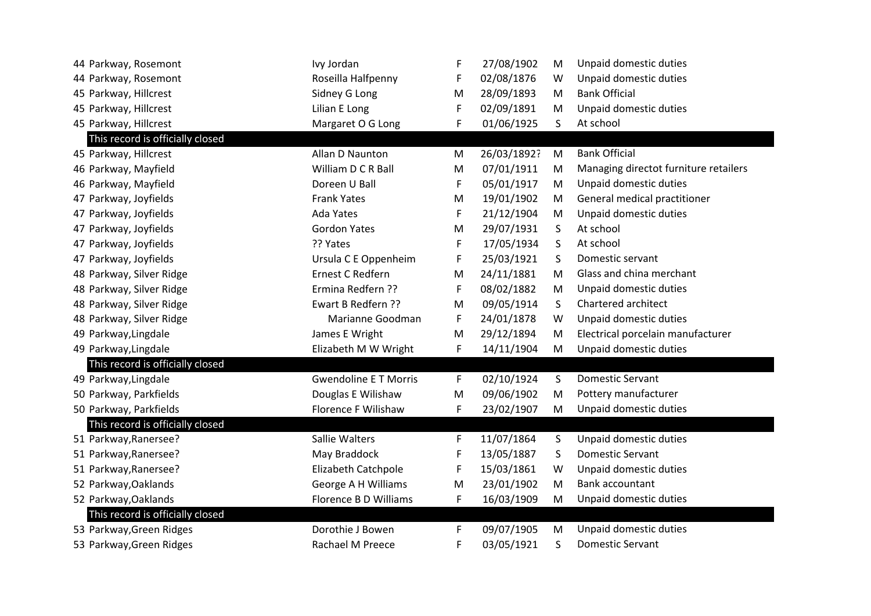| 44 Parkway, Rosemont             | Ivy Jordan                   | F | 27/08/1902  | M | Unpaid domestic duties                |
|----------------------------------|------------------------------|---|-------------|---|---------------------------------------|
| 44 Parkway, Rosemont             | Roseilla Halfpenny           | F | 02/08/1876  | W | Unpaid domestic duties                |
| 45 Parkway, Hillcrest            | Sidney G Long                | M | 28/09/1893  | M | <b>Bank Official</b>                  |
| 45 Parkway, Hillcrest            | Lilian E Long                | F | 02/09/1891  | M | Unpaid domestic duties                |
| 45 Parkway, Hillcrest            | Margaret O G Long            | F | 01/06/1925  | S | At school                             |
| This record is officially closed |                              |   |             |   |                                       |
| 45 Parkway, Hillcrest            | Allan D Naunton              | M | 26/03/1892? | M | <b>Bank Official</b>                  |
| 46 Parkway, Mayfield             | William D C R Ball           | M | 07/01/1911  | M | Managing directot furniture retailers |
| 46 Parkway, Mayfield             | Doreen U Ball                | F | 05/01/1917  | M | Unpaid domestic duties                |
| 47 Parkway, Joyfields            | <b>Frank Yates</b>           | M | 19/01/1902  | M | General medical practitioner          |
| 47 Parkway, Joyfields            | <b>Ada Yates</b>             | F | 21/12/1904  | M | Unpaid domestic duties                |
| 47 Parkway, Joyfields            | <b>Gordon Yates</b>          | M | 29/07/1931  | S | At school                             |
| 47 Parkway, Joyfields            | ?? Yates                     | F | 17/05/1934  | S | At school                             |
| 47 Parkway, Joyfields            | Ursula C E Oppenheim         | F | 25/03/1921  | S | Domestic servant                      |
| 48 Parkway, Silver Ridge         | Ernest C Redfern             | M | 24/11/1881  | M | Glass and china merchant              |
| 48 Parkway, Silver Ridge         | Ermina Redfern ??            | F | 08/02/1882  | M | Unpaid domestic duties                |
| 48 Parkway, Silver Ridge         | Ewart B Redfern ??           | M | 09/05/1914  | S | Chartered architect                   |
| 48 Parkway, Silver Ridge         | Marianne Goodman             | F | 24/01/1878  | W | Unpaid domestic duties                |
| 49 Parkway, Lingdale             | James E Wright               | M | 29/12/1894  | M | Electrical porcelain manufacturer     |
| 49 Parkway, Lingdale             | Elizabeth M W Wright         | F | 14/11/1904  | M | Unpaid domestic duties                |
| This record is officially closed |                              |   |             |   |                                       |
| 49 Parkway, Lingdale             | <b>Gwendoline E T Morris</b> | F | 02/10/1924  | S | <b>Domestic Servant</b>               |
| 50 Parkway, Parkfields           | Douglas E Wilishaw           | M | 09/06/1902  | M | Pottery manufacturer                  |
| 50 Parkway, Parkfields           | Florence F Wilishaw          | F | 23/02/1907  | M | Unpaid domestic duties                |
| This record is officially closed |                              |   |             |   |                                       |
| 51 Parkway, Ranersee?            | <b>Sallie Walters</b>        | F | 11/07/1864  | S | Unpaid domestic duties                |
| 51 Parkway, Ranersee?            | May Braddock                 | F | 13/05/1887  | S | <b>Domestic Servant</b>               |
| 51 Parkway, Ranersee?            | Elizabeth Catchpole          | F | 15/03/1861  | W | Unpaid domestic duties                |
| 52 Parkway, Oaklands             | George A H Williams          | M | 23/01/1902  | M | Bank accountant                       |
| 52 Parkway, Oaklands             | Florence B D Williams        | F | 16/03/1909  | M | Unpaid domestic duties                |
| This record is officially closed |                              |   |             |   |                                       |
| 53 Parkway, Green Ridges         | Dorothie J Bowen             | F | 09/07/1905  | M | Unpaid domestic duties                |
| 53 Parkway, Green Ridges         | Rachael M Preece             | F | 03/05/1921  | S | <b>Domestic Servant</b>               |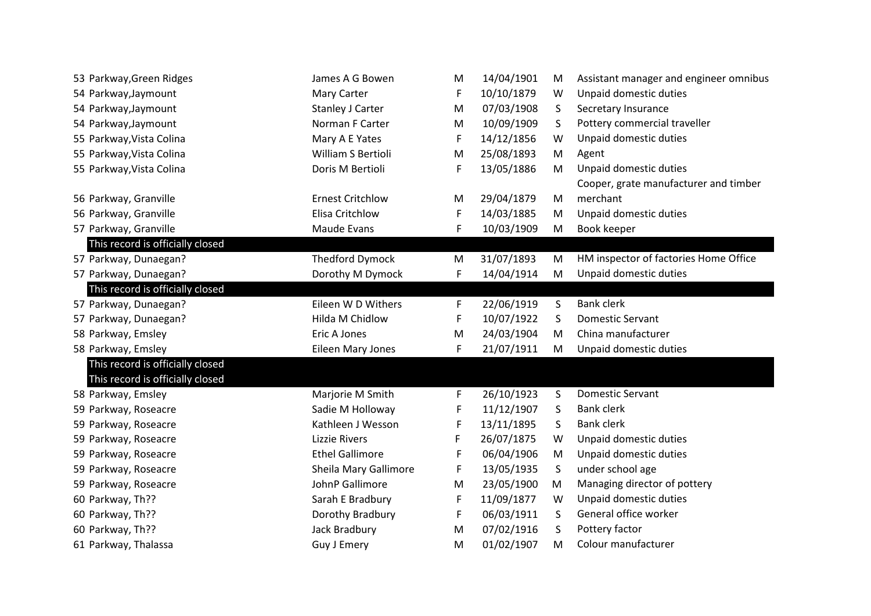| 53 Parkway, Green Ridges         | James A G Bowen         | M | 14/04/1901 | M            | Assistant manager and engineer omnibus |
|----------------------------------|-------------------------|---|------------|--------------|----------------------------------------|
| 54 Parkway, Jaymount             | Mary Carter             | F | 10/10/1879 | W            | Unpaid domestic duties                 |
| 54 Parkway, Jaymount             | Stanley J Carter        | M | 07/03/1908 | S            | Secretary Insurance                    |
| 54 Parkway, Jaymount             | Norman F Carter         | M | 10/09/1909 | S            | Pottery commercial traveller           |
| 55 Parkway, Vista Colina         | Mary A E Yates          | F | 14/12/1856 | W            | Unpaid domestic duties                 |
| 55 Parkway, Vista Colina         | William S Bertioli      | M | 25/08/1893 | M            | Agent                                  |
| 55 Parkway, Vista Colina         | Doris M Bertioli        | F | 13/05/1886 | M            | Unpaid domestic duties                 |
|                                  |                         |   |            |              | Cooper, grate manufacturer and timber  |
| 56 Parkway, Granville            | <b>Ernest Critchlow</b> | M | 29/04/1879 | M            | merchant                               |
| 56 Parkway, Granville            | Elisa Critchlow         | F | 14/03/1885 | M            | Unpaid domestic duties                 |
| 57 Parkway, Granville            | Maude Evans             | F | 10/03/1909 | M            | Book keeper                            |
| This record is officially closed |                         |   |            |              |                                        |
| 57 Parkway, Dunaegan?            | <b>Thedford Dymock</b>  | M | 31/07/1893 | M            | HM inspector of factories Home Office  |
| 57 Parkway, Dunaegan?            | Dorothy M Dymock        | F | 14/04/1914 | M            | Unpaid domestic duties                 |
| This record is officially closed |                         |   |            |              |                                        |
| 57 Parkway, Dunaegan?            | Eileen W D Withers      | F | 22/06/1919 | S            | <b>Bank clerk</b>                      |
| 57 Parkway, Dunaegan?            | Hilda M Chidlow         | F | 10/07/1922 | S            | Domestic Servant                       |
| 58 Parkway, Emsley               | Eric A Jones            | M | 24/03/1904 | M            | China manufacturer                     |
| 58 Parkway, Emsley               | Eileen Mary Jones       | F | 21/07/1911 | M            | Unpaid domestic duties                 |
| This record is officially closed |                         |   |            |              |                                        |
| This record is officially closed |                         |   |            |              |                                        |
| 58 Parkway, Emsley               | Marjorie M Smith        | F | 26/10/1923 | S            | <b>Domestic Servant</b>                |
| 59 Parkway, Roseacre             | Sadie M Holloway        | F | 11/12/1907 | S            | <b>Bank clerk</b>                      |
| 59 Parkway, Roseacre             | Kathleen J Wesson       | F | 13/11/1895 | S            | <b>Bank clerk</b>                      |
| 59 Parkway, Roseacre             | <b>Lizzie Rivers</b>    | F | 26/07/1875 | W            | Unpaid domestic duties                 |
| 59 Parkway, Roseacre             | <b>Ethel Gallimore</b>  | F | 06/04/1906 | M            | Unpaid domestic duties                 |
| 59 Parkway, Roseacre             | Sheila Mary Gallimore   | F | 13/05/1935 | S            | under school age                       |
| 59 Parkway, Roseacre             | JohnP Gallimore         | M | 23/05/1900 | M            | Managing director of pottery           |
| 60 Parkway, Th??                 | Sarah E Bradbury        | F | 11/09/1877 | W            | Unpaid domestic duties                 |
| 60 Parkway, Th??                 | Dorothy Bradbury        | F | 06/03/1911 | <sub>S</sub> | General office worker                  |
| 60 Parkway, Th??                 | Jack Bradbury           | M | 07/02/1916 | S            | Pottery factor                         |
| 61 Parkway, Thalassa             | Guy J Emery             | M | 01/02/1907 | M            | Colour manufacturer                    |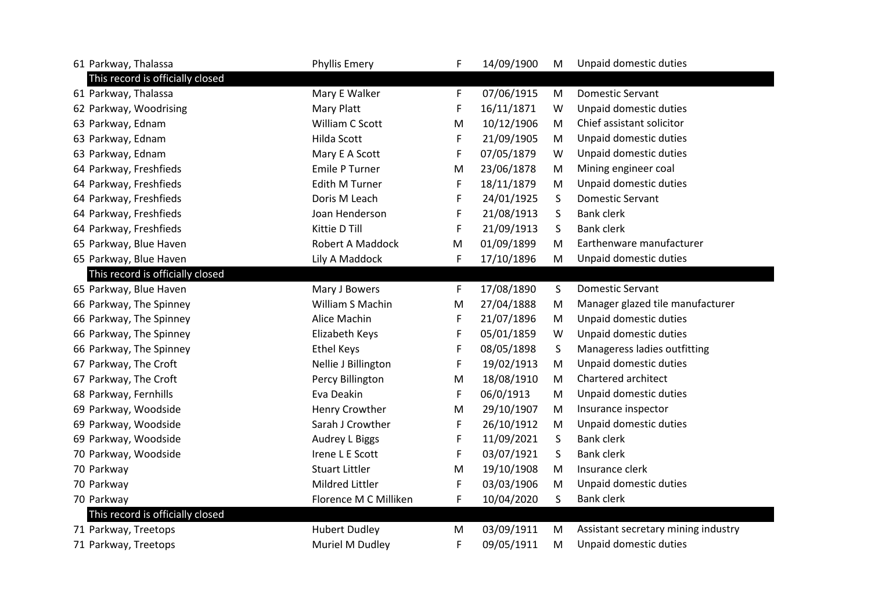| 61 Parkway, Thalassa             | <b>Phyllis Emery</b>    | F  | 14/09/1900 | M       | Unpaid domestic duties              |
|----------------------------------|-------------------------|----|------------|---------|-------------------------------------|
| This record is officially closed |                         |    |            |         |                                     |
| 61 Parkway, Thalassa             | Mary E Walker           | F  | 07/06/1915 | M       | <b>Domestic Servant</b>             |
| 62 Parkway, Woodrising           | Mary Platt              | F  | 16/11/1871 | W       | Unpaid domestic duties              |
| 63 Parkway, Ednam                | William C Scott         | M  | 10/12/1906 | M       | Chief assistant solicitor           |
| 63 Parkway, Ednam                | Hilda Scott             | F  | 21/09/1905 | M       | Unpaid domestic duties              |
| 63 Parkway, Ednam                | Mary E A Scott          | F  | 07/05/1879 | W       | Unpaid domestic duties              |
| 64 Parkway, Freshfieds           | <b>Emile P Turner</b>   | M  | 23/06/1878 | M       | Mining engineer coal                |
| 64 Parkway, Freshfieds           | <b>Edith M Turner</b>   | F  | 18/11/1879 | M       | Unpaid domestic duties              |
| 64 Parkway, Freshfieds           | Doris M Leach           | F  | 24/01/1925 | S       | <b>Domestic Servant</b>             |
| 64 Parkway, Freshfieds           | Joan Henderson          | F  | 21/08/1913 | S       | <b>Bank clerk</b>                   |
| 64 Parkway, Freshfieds           | Kittie D Till           | F  | 21/09/1913 | S       | <b>Bank clerk</b>                   |
| 65 Parkway, Blue Haven           | <b>Robert A Maddock</b> | M  | 01/09/1899 | M       | Earthenware manufacturer            |
| 65 Parkway, Blue Haven           | Lily A Maddock          | F  | 17/10/1896 | M       | Unpaid domestic duties              |
| This record is officially closed |                         |    |            |         |                                     |
| 65 Parkway, Blue Haven           | Mary J Bowers           | F. | 17/08/1890 | S       | <b>Domestic Servant</b>             |
| 66 Parkway, The Spinney          | William S Machin        | M  | 27/04/1888 | M       | Manager glazed tile manufacturer    |
| 66 Parkway, The Spinney          | Alice Machin            | F  | 21/07/1896 | M       | Unpaid domestic duties              |
| 66 Parkway, The Spinney          | Elizabeth Keys          | F  | 05/01/1859 | W       | Unpaid domestic duties              |
| 66 Parkway, The Spinney          | <b>Ethel Keys</b>       | F  | 08/05/1898 | $\sf S$ | Manageress ladies outfitting        |
| 67 Parkway, The Croft            | Nellie J Billington     | F  | 19/02/1913 | M       | Unpaid domestic duties              |
| 67 Parkway, The Croft            | Percy Billington        | M  | 18/08/1910 | M       | Chartered architect                 |
| 68 Parkway, Fernhills            | Eva Deakin              | F  | 06/0/1913  | M       | Unpaid domestic duties              |
| 69 Parkway, Woodside             | Henry Crowther          | M  | 29/10/1907 | M       | Insurance inspector                 |
| 69 Parkway, Woodside             | Sarah J Crowther        | F  | 26/10/1912 | M       | Unpaid domestic duties              |
| 69 Parkway, Woodside             | Audrey L Biggs          | F  | 11/09/2021 | S       | <b>Bank clerk</b>                   |
| 70 Parkway, Woodside             | Irene L E Scott         | F  | 03/07/1921 | S       | <b>Bank clerk</b>                   |
| 70 Parkway                       | <b>Stuart Littler</b>   | M  | 19/10/1908 | M       | Insurance clerk                     |
| 70 Parkway                       | Mildred Littler         | F  | 03/03/1906 | M       | Unpaid domestic duties              |
| 70 Parkway                       | Florence M C Milliken   | F  | 10/04/2020 | S       | <b>Bank clerk</b>                   |
| This record is officially closed |                         |    |            |         |                                     |
| 71 Parkway, Treetops             | <b>Hubert Dudley</b>    | M  | 03/09/1911 | M       | Assistant secretary mining industry |
| 71 Parkway, Treetops             | Muriel M Dudley         | F  | 09/05/1911 | M       | Unpaid domestic duties              |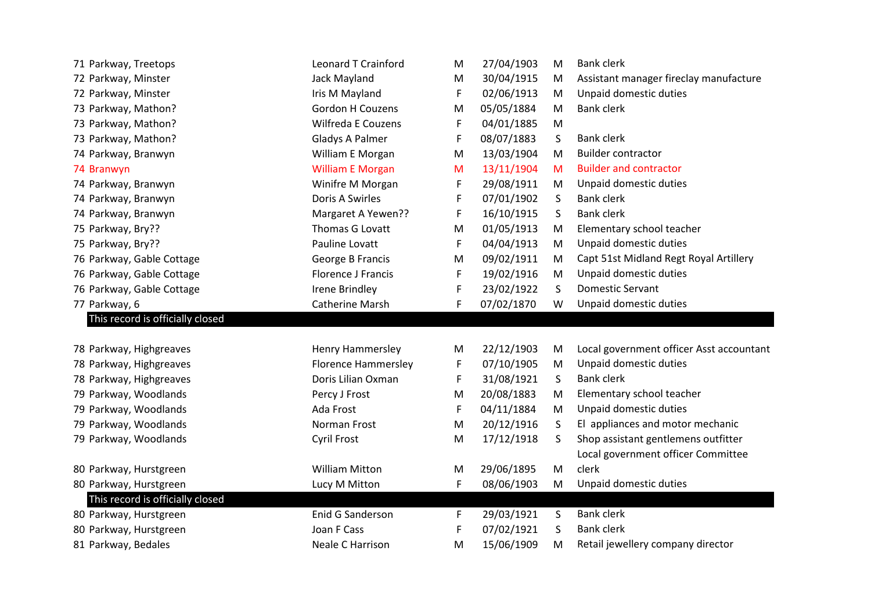| 71 Parkway, Treetops             | Leonard T Crainford        | M  | 27/04/1903               | M  | <b>Bank clerk</b>                        |
|----------------------------------|----------------------------|----|--------------------------|----|------------------------------------------|
| 72 Parkway, Minster              | Jack Mayland               | M  | 30/04/1915               | M  | Assistant manager fireclay manufacture   |
| 72 Parkway, Minster              | Iris M Mayland             | F  | 02/06/1913               | M  | Unpaid domestic duties                   |
| 73 Parkway, Mathon?              | Gordon H Couzens           | M  | 05/05/1884               | M  | <b>Bank clerk</b>                        |
| 73 Parkway, Mathon?              | <b>Wilfreda E Couzens</b>  | F  | 04/01/1885               | M  |                                          |
| 73 Parkway, Mathon?              | Gladys A Palmer            | F  | 08/07/1883               | S  | <b>Bank clerk</b>                        |
| 74 Parkway, Branwyn              | William E Morgan           | M  | 13/03/1904               | M  | <b>Builder contractor</b>                |
| 74 Branwyn                       | <b>William E Morgan</b>    | M  | 13/11/1904               | M  | <b>Builder and contractor</b>            |
| 74 Parkway, Branwyn              | Winifre M Morgan           | F  | 29/08/1911               | M  | Unpaid domestic duties                   |
| 74 Parkway, Branwyn              | Doris A Swirles            | F  | 07/01/1902               | S  | <b>Bank clerk</b>                        |
| 74 Parkway, Branwyn              | Margaret A Yewen??         | F  | 16/10/1915               | S  | <b>Bank clerk</b>                        |
| 75 Parkway, Bry??                | Thomas G Lovatt            | M  | 01/05/1913               | M  | Elementary school teacher                |
| 75 Parkway, Bry??                | Pauline Lovatt             | F  | 04/04/1913               | M  | Unpaid domestic duties                   |
| 76 Parkway, Gable Cottage        | George B Francis           | M  | 09/02/1911               | M  | Capt 51st Midland Regt Royal Artillery   |
| 76 Parkway, Gable Cottage        | <b>Florence J Francis</b>  | F  | 19/02/1916               | M  | Unpaid domestic duties                   |
| 76 Parkway, Gable Cottage        | <b>Irene Brindley</b>      | F  | 23/02/1922               | S  | <b>Domestic Servant</b>                  |
| 77 Parkway, 6                    | Catherine Marsh            | F  | 07/02/1870               | W  | Unpaid domestic duties                   |
|                                  |                            |    |                          |    |                                          |
| This record is officially closed |                            |    |                          |    |                                          |
|                                  |                            |    |                          |    |                                          |
| 78 Parkway, Highgreaves          | <b>Henry Hammersley</b>    | M  | 22/12/1903               | M  | Local government officer Asst accountant |
| 78 Parkway, Highgreaves          | <b>Florence Hammersley</b> | F  | 07/10/1905               | M  | Unpaid domestic duties                   |
| 78 Parkway, Highgreaves          | Doris Lilian Oxman         | F  | 31/08/1921               | S  | <b>Bank clerk</b>                        |
| 79 Parkway, Woodlands            | Percy J Frost              | M  | 20/08/1883               | M  | Elementary school teacher                |
| 79 Parkway, Woodlands            | Ada Frost                  | F  | 04/11/1884               | M  | Unpaid domestic duties                   |
| 79 Parkway, Woodlands            | Norman Frost               | M  | 20/12/1916               | S  | El appliances and motor mechanic         |
| 79 Parkway, Woodlands            | <b>Cyril Frost</b>         | M  | 17/12/1918               | S. | Shop assistant gentlemens outfitter      |
|                                  |                            |    |                          |    | Local government officer Committee       |
| 80 Parkway, Hurstgreen           | <b>William Mitton</b>      | M  | 29/06/1895               | M  | clerk                                    |
| 80 Parkway, Hurstgreen           | Lucy M Mitton              | F  | 08/06/1903               | M  | Unpaid domestic duties                   |
| This record is officially closed |                            |    |                          |    |                                          |
| 80 Parkway, Hurstgreen           | Enid G Sanderson           | F. | 29/03/1921               | S  | <b>Bank clerk</b>                        |
| 80 Parkway, Hurstgreen           | Joan F Cass                | F  | 07/02/1921<br>15/06/1909 | S  | <b>Bank clerk</b>                        |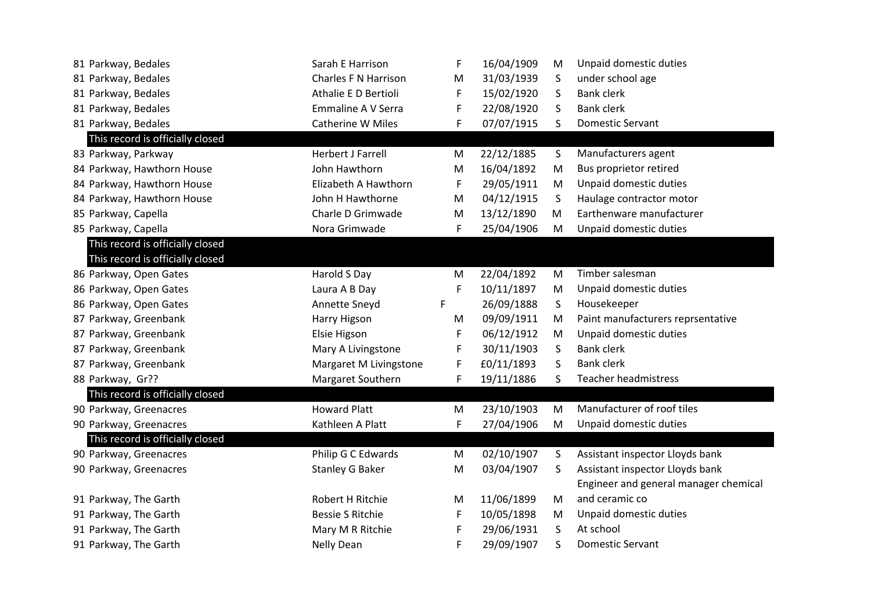| 81 Parkway, Bedales              | Sarah E Harrison         | F | 16/04/1909 | M  | Unpaid domestic duties                |
|----------------------------------|--------------------------|---|------------|----|---------------------------------------|
| 81 Parkway, Bedales              | Charles F N Harrison     | M | 31/03/1939 | S  | under school age                      |
| 81 Parkway, Bedales              | Athalie E D Bertioli     | F | 15/02/1920 | S  | <b>Bank clerk</b>                     |
| 81 Parkway, Bedales              | Emmaline A V Serra       | F | 22/08/1920 | S  | <b>Bank clerk</b>                     |
| 81 Parkway, Bedales              | Catherine W Miles        | F | 07/07/1915 | S  | <b>Domestic Servant</b>               |
| This record is officially closed |                          |   |            |    |                                       |
| 83 Parkway, Parkway              | <b>Herbert J Farrell</b> | M | 22/12/1885 | S  | Manufacturers agent                   |
| 84 Parkway, Hawthorn House       | John Hawthorn            | M | 16/04/1892 | M  | Bus proprietor retired                |
| 84 Parkway, Hawthorn House       | Elizabeth A Hawthorn     | F | 29/05/1911 | M  | Unpaid domestic duties                |
| 84 Parkway, Hawthorn House       | John H Hawthorne         | M | 04/12/1915 | S  | Haulage contractor motor              |
| 85 Parkway, Capella              | Charle D Grimwade        | M | 13/12/1890 | M  | Earthenware manufacturer              |
| 85 Parkway, Capella              | Nora Grimwade            | F | 25/04/1906 | M  | Unpaid domestic duties                |
| This record is officially closed |                          |   |            |    |                                       |
| This record is officially closed |                          |   |            |    |                                       |
| 86 Parkway, Open Gates           | Harold S Day             | M | 22/04/1892 | M  | Timber salesman                       |
| 86 Parkway, Open Gates           | Laura A B Day            | F | 10/11/1897 | M  | Unpaid domestic duties                |
| 86 Parkway, Open Gates           | Annette Sneyd            | F | 26/09/1888 | S  | Housekeeper                           |
| 87 Parkway, Greenbank            | Harry Higson             | M | 09/09/1911 | M  | Paint manufacturers reprsentative     |
| 87 Parkway, Greenbank            | Elsie Higson             | F | 06/12/1912 | M  | Unpaid domestic duties                |
| 87 Parkway, Greenbank            | Mary A Livingstone       | F | 30/11/1903 | S  | <b>Bank clerk</b>                     |
| 87 Parkway, Greenbank            | Margaret M Livingstone   | F | £0/11/1893 | S  | <b>Bank clerk</b>                     |
| 88 Parkway, Gr??                 | Margaret Southern        | F | 19/11/1886 | S. | <b>Teacher headmistress</b>           |
| This record is officially closed |                          |   |            |    |                                       |
| 90 Parkway, Greenacres           | <b>Howard Platt</b>      | M | 23/10/1903 | M  | Manufacturer of roof tiles            |
| 90 Parkway, Greenacres           | Kathleen A Platt         | F | 27/04/1906 | M  | Unpaid domestic duties                |
| This record is officially closed |                          |   |            |    |                                       |
| 90 Parkway, Greenacres           | Philip G C Edwards       | M | 02/10/1907 | S  | Assistant inspector Lloyds bank       |
| 90 Parkway, Greenacres           | Stanley G Baker          | M | 03/04/1907 | S. | Assistant inspector Lloyds bank       |
|                                  |                          |   |            |    | Engineer and general manager chemical |
| 91 Parkway, The Garth            | Robert H Ritchie         | M | 11/06/1899 | M  | and ceramic co                        |
| 91 Parkway, The Garth            | <b>Bessie S Ritchie</b>  | F | 10/05/1898 | M  | Unpaid domestic duties                |
| 91 Parkway, The Garth            | Mary M R Ritchie         | F | 29/06/1931 | S  | At school                             |
| 91 Parkway, The Garth            | Nelly Dean               | F | 29/09/1907 | S  | <b>Domestic Servant</b>               |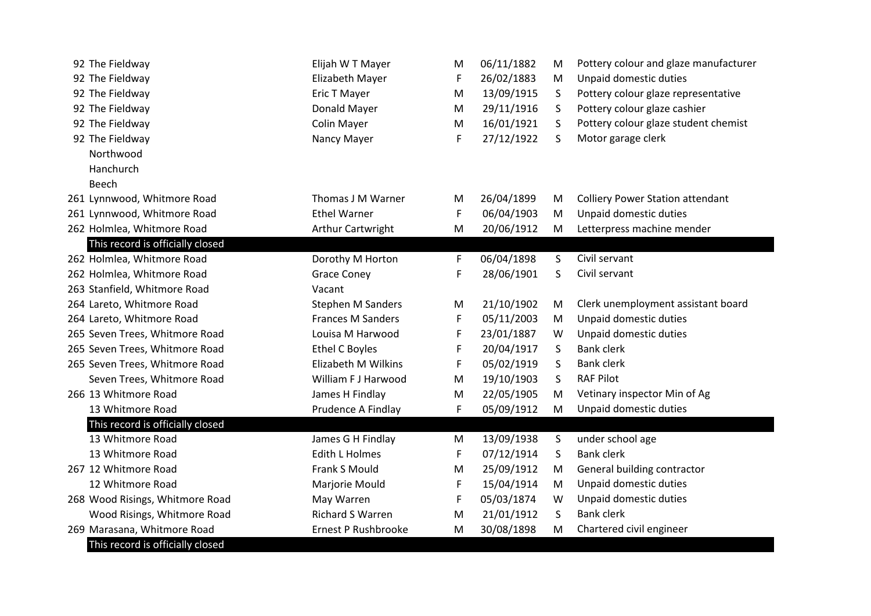| 92 The Fieldway                  | Elijah W T Mayer         | М | 06/11/1882 | М  | Pottery colour and glaze manufacturer   |
|----------------------------------|--------------------------|---|------------|----|-----------------------------------------|
| 92 The Fieldway                  | Elizabeth Mayer          | F | 26/02/1883 | M  | Unpaid domestic duties                  |
| 92 The Fieldway                  | Eric T Mayer             | M | 13/09/1915 | S. | Pottery colour glaze representative     |
| 92 The Fieldway                  | Donald Mayer             | M | 29/11/1916 | S  | Pottery colour glaze cashier            |
| 92 The Fieldway                  | Colin Mayer              | M | 16/01/1921 | S  | Pottery colour glaze student chemist    |
| 92 The Fieldway                  | Nancy Mayer              | F | 27/12/1922 | S  | Motor garage clerk                      |
| Northwood                        |                          |   |            |    |                                         |
| Hanchurch                        |                          |   |            |    |                                         |
| Beech                            |                          |   |            |    |                                         |
| 261 Lynnwood, Whitmore Road      | Thomas J M Warner        | M | 26/04/1899 | M  | <b>Colliery Power Station attendant</b> |
| 261 Lynnwood, Whitmore Road      | <b>Ethel Warner</b>      | F | 06/04/1903 | M  | Unpaid domestic duties                  |
| 262 Holmlea, Whitmore Road       | Arthur Cartwright        | M | 20/06/1912 | M  | Letterpress machine mender              |
| This record is officially closed |                          |   |            |    |                                         |
| 262 Holmlea, Whitmore Road       | Dorothy M Horton         | F | 06/04/1898 | S  | Civil servant                           |
| 262 Holmlea, Whitmore Road       | <b>Grace Coney</b>       | F | 28/06/1901 | S  | Civil servant                           |
| 263 Stanfield, Whitmore Road     | Vacant                   |   |            |    |                                         |
| 264 Lareto, Whitmore Road        | <b>Stephen M Sanders</b> | M | 21/10/1902 | М  | Clerk unemployment assistant board      |
| 264 Lareto, Whitmore Road        | <b>Frances M Sanders</b> | F | 05/11/2003 | M  | Unpaid domestic duties                  |
| 265 Seven Trees, Whitmore Road   | Louisa M Harwood         | F | 23/01/1887 | W  | Unpaid domestic duties                  |
| 265 Seven Trees, Whitmore Road   | <b>Ethel C Boyles</b>    | F | 20/04/1917 | S  | <b>Bank clerk</b>                       |
| 265 Seven Trees, Whitmore Road   | Elizabeth M Wilkins      | F | 05/02/1919 | S  | <b>Bank clerk</b>                       |
| Seven Trees, Whitmore Road       | William F J Harwood      | M | 19/10/1903 | S  | <b>RAF Pilot</b>                        |
| 266 13 Whitmore Road             | James H Findlay          | M | 22/05/1905 | M  | Vetinary inspector Min of Ag            |
| 13 Whitmore Road                 | Prudence A Findlay       | F | 05/09/1912 | M  | Unpaid domestic duties                  |
| This record is officially closed |                          |   |            |    |                                         |
| 13 Whitmore Road                 | James G H Findlay        | M | 13/09/1938 | S  | under school age                        |
| 13 Whitmore Road                 | <b>Edith L Holmes</b>    | F | 07/12/1914 | S  | <b>Bank clerk</b>                       |
| 267 12 Whitmore Road             | Frank S Mould            | M | 25/09/1912 | M  | General building contractor             |
| 12 Whitmore Road                 | Marjorie Mould           | F | 15/04/1914 | M  | Unpaid domestic duties                  |
| 268 Wood Risings, Whitmore Road  | May Warren               | F | 05/03/1874 | W  | Unpaid domestic duties                  |
| Wood Risings, Whitmore Road      | <b>Richard S Warren</b>  | M | 21/01/1912 | S  | <b>Bank clerk</b>                       |
| 269 Marasana, Whitmore Road      | Ernest P Rushbrooke      | M | 30/08/1898 | M  | Chartered civil engineer                |
| This record is officially closed |                          |   |            |    |                                         |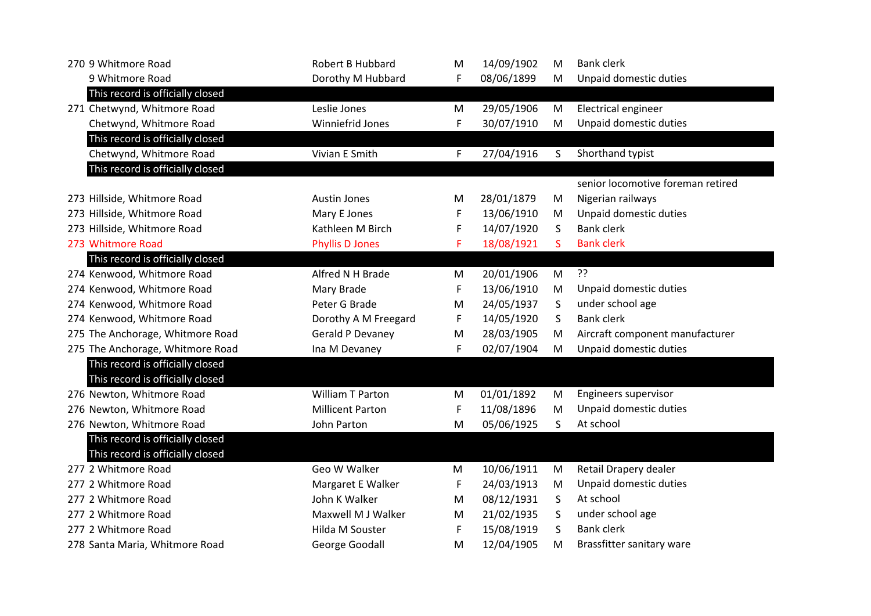| 270 9 Whitmore Road              | Robert B Hubbard        | M | 14/09/1902 | M | <b>Bank clerk</b>                 |
|----------------------------------|-------------------------|---|------------|---|-----------------------------------|
| 9 Whitmore Road                  | Dorothy M Hubbard       | F | 08/06/1899 | M | Unpaid domestic duties            |
| This record is officially closed |                         |   |            |   |                                   |
| 271 Chetwynd, Whitmore Road      | Leslie Jones            | M | 29/05/1906 | M | <b>Electrical engineer</b>        |
| Chetwynd, Whitmore Road          | Winniefrid Jones        | F | 30/07/1910 | M | Unpaid domestic duties            |
| This record is officially closed |                         |   |            |   |                                   |
| Chetwynd, Whitmore Road          | Vivian E Smith          | F | 27/04/1916 | S | Shorthand typist                  |
| This record is officially closed |                         |   |            |   |                                   |
|                                  |                         |   |            |   | senior locomotive foreman retired |
| 273 Hillside, Whitmore Road      | <b>Austin Jones</b>     | M | 28/01/1879 | M | Nigerian railways                 |
| 273 Hillside, Whitmore Road      | Mary E Jones            | F | 13/06/1910 | M | Unpaid domestic duties            |
| 273 Hillside, Whitmore Road      | Kathleen M Birch        | F | 14/07/1920 | S | <b>Bank clerk</b>                 |
| 273 Whitmore Road                | <b>Phyllis D Jones</b>  | F | 18/08/1921 | S | <b>Bank clerk</b>                 |
| This record is officially closed |                         |   |            |   |                                   |
| 274 Kenwood, Whitmore Road       | Alfred N H Brade        | M | 20/01/1906 | M | ??                                |
| 274 Kenwood, Whitmore Road       | Mary Brade              | F | 13/06/1910 | M | Unpaid domestic duties            |
| 274 Kenwood, Whitmore Road       | Peter G Brade           | М | 24/05/1937 | S | under school age                  |
| 274 Kenwood, Whitmore Road       | Dorothy A M Freegard    | F | 14/05/1920 | S | <b>Bank clerk</b>                 |
| 275 The Anchorage, Whitmore Road | <b>Gerald P Devaney</b> | M | 28/03/1905 | M | Aircraft component manufacturer   |
| 275 The Anchorage, Whitmore Road | Ina M Devaney           | F | 02/07/1904 | M | Unpaid domestic duties            |
| This record is officially closed |                         |   |            |   |                                   |
| This record is officially closed |                         |   |            |   |                                   |
| 276 Newton, Whitmore Road        | William T Parton        | M | 01/01/1892 | M | Engineers supervisor              |
| 276 Newton, Whitmore Road        | <b>Millicent Parton</b> | F | 11/08/1896 | M | Unpaid domestic duties            |
| 276 Newton, Whitmore Road        | John Parton             | M | 05/06/1925 | S | At school                         |
| This record is officially closed |                         |   |            |   |                                   |
| This record is officially closed |                         |   |            |   |                                   |
| 277 2 Whitmore Road              | Geo W Walker            | M | 10/06/1911 | M | Retail Drapery dealer             |
| 277 2 Whitmore Road              | Margaret E Walker       | F | 24/03/1913 | M | Unpaid domestic duties            |
| 277 2 Whitmore Road              | John K Walker           | M | 08/12/1931 | S | At school                         |
| 277 2 Whitmore Road              | Maxwell M J Walker      | M | 21/02/1935 | S | under school age                  |
| 277 2 Whitmore Road              | Hilda M Souster         | F | 15/08/1919 | S | <b>Bank clerk</b>                 |
| 278 Santa Maria, Whitmore Road   | George Goodall          | M | 12/04/1905 | M | Brassfitter sanitary ware         |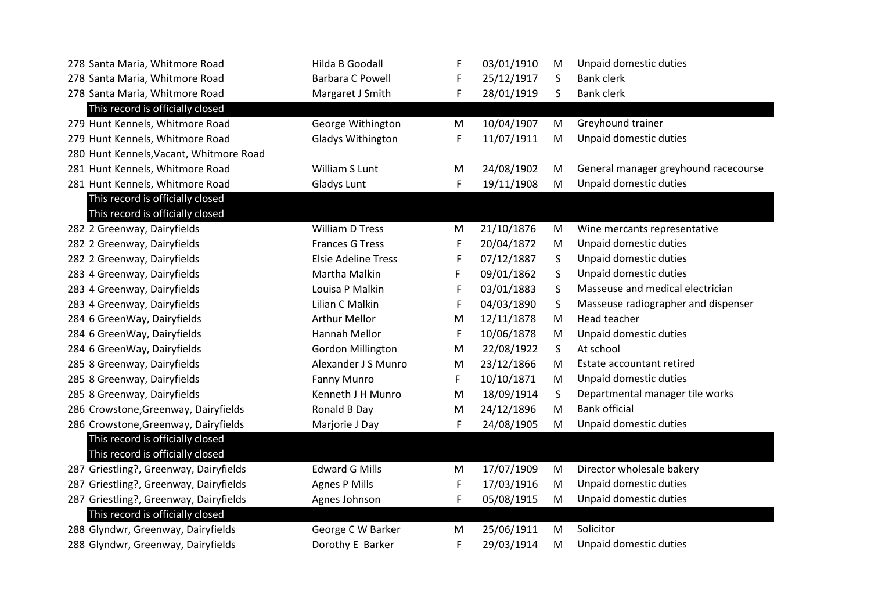| 278 Santa Maria, Whitmore Road          | Hilda B Goodall            | F | 03/01/1910 | M         | Unpaid domestic duties               |
|-----------------------------------------|----------------------------|---|------------|-----------|--------------------------------------|
| 278 Santa Maria, Whitmore Road          | <b>Barbara C Powell</b>    | F | 25/12/1917 | S         | <b>Bank clerk</b>                    |
| 278 Santa Maria, Whitmore Road          | Margaret J Smith           | F | 28/01/1919 | S         | <b>Bank clerk</b>                    |
| This record is officially closed        |                            |   |            |           |                                      |
| 279 Hunt Kennels, Whitmore Road         | George Withington          | M | 10/04/1907 | M         | Greyhound trainer                    |
| 279 Hunt Kennels, Whitmore Road         | Gladys Withington          | F | 11/07/1911 | M         | Unpaid domestic duties               |
| 280 Hunt Kennels, Vacant, Whitmore Road |                            |   |            |           |                                      |
| 281 Hunt Kennels, Whitmore Road         | William S Lunt             | M | 24/08/1902 | M         | General manager greyhound racecourse |
| 281 Hunt Kennels, Whitmore Road         | <b>Gladys Lunt</b>         | F | 19/11/1908 | M         | Unpaid domestic duties               |
| This record is officially closed        |                            |   |            |           |                                      |
| This record is officially closed        |                            |   |            |           |                                      |
| 282 2 Greenway, Dairyfields             | <b>William D Tress</b>     | M | 21/10/1876 | M         | Wine mercants representative         |
| 282 2 Greenway, Dairyfields             | <b>Frances G Tress</b>     | F | 20/04/1872 | M         | Unpaid domestic duties               |
| 282 2 Greenway, Dairyfields             | <b>Elsie Adeline Tress</b> | F | 07/12/1887 | S         | Unpaid domestic duties               |
| 283 4 Greenway, Dairyfields             | Martha Malkin              | F | 09/01/1862 | S         | Unpaid domestic duties               |
| 283 4 Greenway, Dairyfields             | Louisa P Malkin            | F | 03/01/1883 | $\sf S$   | Masseuse and medical electrician     |
| 283 4 Greenway, Dairyfields             | Lilian C Malkin            | F | 04/03/1890 | S         | Masseuse radiographer and dispenser  |
| 284 6 GreenWay, Dairyfields             | <b>Arthur Mellor</b>       | M | 12/11/1878 | M         | Head teacher                         |
| 284 6 GreenWay, Dairyfields             | Hannah Mellor              | F | 10/06/1878 | M         | Unpaid domestic duties               |
| 284 6 GreenWay, Dairyfields             | Gordon Millington          | M | 22/08/1922 | S         | At school                            |
| 285 8 Greenway, Dairyfields             | Alexander J S Munro        | M | 23/12/1866 | M         | Estate accountant retired            |
| 285 8 Greenway, Dairyfields             | Fanny Munro                | F | 10/10/1871 | M         | Unpaid domestic duties               |
| 285 8 Greenway, Dairyfields             | Kenneth J H Munro          | M | 18/09/1914 | S         | Departmental manager tile works      |
| 286 Crowstone, Greenway, Dairyfields    | Ronald B Day               | M | 24/12/1896 | ${\sf M}$ | <b>Bank official</b>                 |
| 286 Crowstone, Greenway, Dairyfields    | Marjorie J Day             | F | 24/08/1905 | M         | Unpaid domestic duties               |
| This record is officially closed        |                            |   |            |           |                                      |
| This record is officially closed        |                            |   |            |           |                                      |
| 287 Griestling?, Greenway, Dairyfields  | <b>Edward G Mills</b>      | M | 17/07/1909 | M         | Director wholesale bakery            |
| 287 Griestling?, Greenway, Dairyfields  | <b>Agnes P Mills</b>       | F | 17/03/1916 | M         | Unpaid domestic duties               |
| 287 Griestling?, Greenway, Dairyfields  | Agnes Johnson              | F | 05/08/1915 | M         | Unpaid domestic duties               |
| This record is officially closed        |                            |   |            |           |                                      |
| 288 Glyndwr, Greenway, Dairyfields      | George C W Barker          | M | 25/06/1911 | M         | Solicitor                            |
| 288 Glyndwr, Greenway, Dairyfields      | Dorothy E Barker           | F | 29/03/1914 | M         | Unpaid domestic duties               |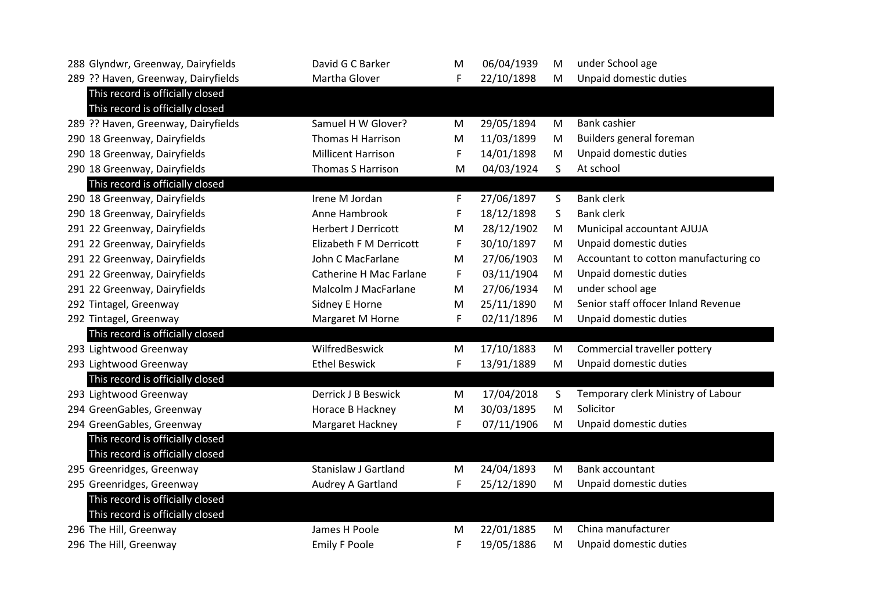| 288 Glyndwr, Greenway, Dairyfields  | David G C Barker            | M | 06/04/1939 | M  | under School age                      |
|-------------------------------------|-----------------------------|---|------------|----|---------------------------------------|
| 289 ?? Haven, Greenway, Dairyfields | Martha Glover               | F | 22/10/1898 | M  | Unpaid domestic duties                |
| This record is officially closed    |                             |   |            |    |                                       |
| This record is officially closed    |                             |   |            |    |                                       |
| 289 ?? Haven, Greenway, Dairyfields | Samuel H W Glover?          | M | 29/05/1894 | M  | Bank cashier                          |
| 290 18 Greenway, Dairyfields        | Thomas H Harrison           | M | 11/03/1899 | M  | Builders general foreman              |
| 290 18 Greenway, Dairyfields        | <b>Millicent Harrison</b>   | F | 14/01/1898 | M  | Unpaid domestic duties                |
| 290 18 Greenway, Dairyfields        | <b>Thomas S Harrison</b>    | M | 04/03/1924 | S. | At school                             |
| This record is officially closed    |                             |   |            |    |                                       |
| 290 18 Greenway, Dairyfields        | Irene M Jordan              | F | 27/06/1897 | S  | <b>Bank clerk</b>                     |
| 290 18 Greenway, Dairyfields        | Anne Hambrook               | F | 18/12/1898 | S  | <b>Bank clerk</b>                     |
| 291 22 Greenway, Dairyfields        | <b>Herbert J Derricott</b>  | M | 28/12/1902 | M  | Municipal accountant AJUJA            |
| 291 22 Greenway, Dairyfields        | Elizabeth F M Derricott     | F | 30/10/1897 | M  | Unpaid domestic duties                |
| 291 22 Greenway, Dairyfields        | John C MacFarlane           | M | 27/06/1903 | M  | Accountant to cotton manufacturing co |
| 291 22 Greenway, Dairyfields        | Catherine H Mac Farlane     | F | 03/11/1904 | M  | Unpaid domestic duties                |
| 291 22 Greenway, Dairyfields        | Malcolm J MacFarlane        | M | 27/06/1934 | M  | under school age                      |
| 292 Tintagel, Greenway              | Sidney E Horne              | M | 25/11/1890 | M  | Senior staff offocer Inland Revenue   |
| 292 Tintagel, Greenway              | Margaret M Horne            | F | 02/11/1896 | M  | Unpaid domestic duties                |
| This record is officially closed    |                             |   |            |    |                                       |
| 293 Lightwood Greenway              | WilfredBeswick              | M | 17/10/1883 | M  | Commercial traveller pottery          |
| 293 Lightwood Greenway              | <b>Ethel Beswick</b>        | F | 13/91/1889 | M  | Unpaid domestic duties                |
| This record is officially closed    |                             |   |            |    |                                       |
| 293 Lightwood Greenway              | Derrick J B Beswick         | M | 17/04/2018 | S  | Temporary clerk Ministry of Labour    |
| 294 GreenGables, Greenway           | Horace B Hackney            | M | 30/03/1895 | M  | Solicitor                             |
| 294 GreenGables, Greenway           | Margaret Hackney            | F | 07/11/1906 | M  | Unpaid domestic duties                |
| This record is officially closed    |                             |   |            |    |                                       |
| This record is officially closed    |                             |   |            |    |                                       |
| 295 Greenridges, Greenway           | <b>Stanislaw J Gartland</b> | M | 24/04/1893 | M  | Bank accountant                       |
| 295 Greenridges, Greenway           | Audrey A Gartland           | F | 25/12/1890 | M  | Unpaid domestic duties                |
| This record is officially closed    |                             |   |            |    |                                       |
| This record is officially closed    |                             |   |            |    |                                       |
| 296 The Hill, Greenway              | James H Poole               | M | 22/01/1885 | M  | China manufacturer                    |
| 296 The Hill, Greenway              | <b>Emily F Poole</b>        | F | 19/05/1886 | M  | Unpaid domestic duties                |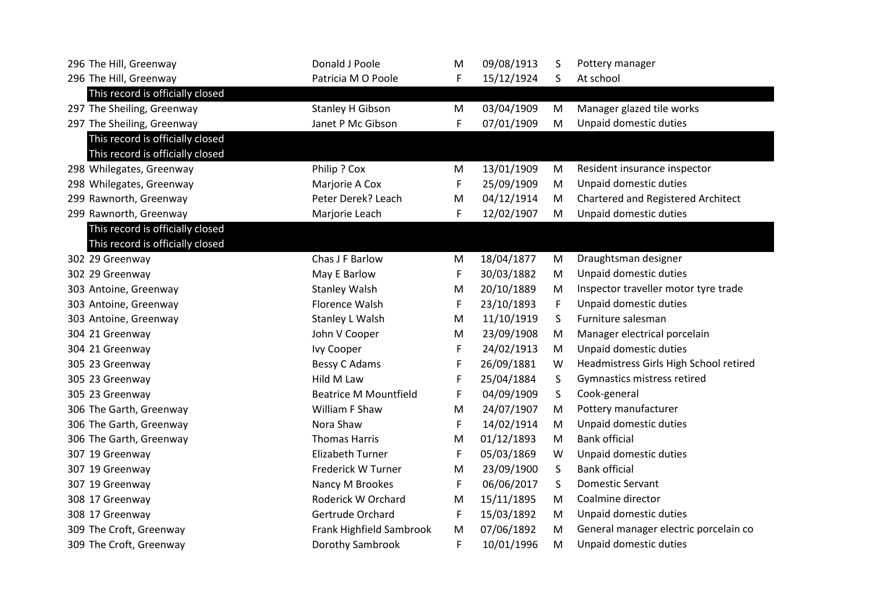| 296 The Hill, Greenway           | Donald J Poole               | M | 09/08/1913 | S | Pottery manager                        |
|----------------------------------|------------------------------|---|------------|---|----------------------------------------|
| 296 The Hill, Greenway           | Patricia M O Poole           | F | 15/12/1924 | S | At school                              |
| This record is officially closed |                              |   |            |   |                                        |
| 297 The Sheiling, Greenway       | Stanley H Gibson             | M | 03/04/1909 | M | Manager glazed tile works              |
| 297 The Sheiling, Greenway       | Janet P Mc Gibson            | F | 07/01/1909 | M | Unpaid domestic duties                 |
| This record is officially closed |                              |   |            |   |                                        |
| This record is officially closed |                              |   |            |   |                                        |
| 298 Whilegates, Greenway         | Philip ? Cox                 | M | 13/01/1909 | M | Resident insurance inspector           |
| 298 Whilegates, Greenway         | Marjorie A Cox               | F | 25/09/1909 | M | Unpaid domestic duties                 |
| 299 Rawnorth, Greenway           | Peter Derek? Leach           | M | 04/12/1914 | M | Chartered and Registered Architect     |
| 299 Rawnorth, Greenway           | Marjorie Leach               | F | 12/02/1907 | M | Unpaid domestic duties                 |
| This record is officially closed |                              |   |            |   |                                        |
| This record is officially closed |                              |   |            |   |                                        |
| 302 29 Greenway                  | Chas J F Barlow              | M | 18/04/1877 | M | Draughtsman designer                   |
| 302 29 Greenway                  | May E Barlow                 | F | 30/03/1882 | M | Unpaid domestic duties                 |
| 303 Antoine, Greenway            | <b>Stanley Walsh</b>         | M | 20/10/1889 | M | Inspector traveller motor tyre trade   |
| 303 Antoine, Greenway            | Florence Walsh               | F | 23/10/1893 | F | Unpaid domestic duties                 |
| 303 Antoine, Greenway            | Stanley L Walsh              | M | 11/10/1919 | S | Furniture salesman                     |
| 304 21 Greenway                  | John V Cooper                | M | 23/09/1908 | M | Manager electrical porcelain           |
| 304 21 Greenway                  | Ivy Cooper                   | F | 24/02/1913 | M | Unpaid domestic duties                 |
| 305 23 Greenway                  | Bessy C Adams                | F | 26/09/1881 | W | Headmistress Girls High School retired |
| 305 23 Greenway                  | Hild M Law                   | F | 25/04/1884 | S | Gymnastics mistress retired            |
| 305 23 Greenway                  | <b>Beatrice M Mountfield</b> | F | 04/09/1909 | S | Cook-general                           |
| 306 The Garth, Greenway          | William F Shaw               | M | 24/07/1907 | M | Pottery manufacturer                   |
| 306 The Garth, Greenway          | Nora Shaw                    | F | 14/02/1914 | M | Unpaid domestic duties                 |
| 306 The Garth, Greenway          | <b>Thomas Harris</b>         | M | 01/12/1893 | M | <b>Bank official</b>                   |
| 307 19 Greenway                  | <b>Elizabeth Turner</b>      | F | 05/03/1869 | W | Unpaid domestic duties                 |
| 307 19 Greenway                  | Frederick W Turner           | M | 23/09/1900 | S | <b>Bank official</b>                   |
| 307 19 Greenway                  | Nancy M Brookes              | F | 06/06/2017 | S | <b>Domestic Servant</b>                |
| 308 17 Greenway                  | Roderick W Orchard           | M | 15/11/1895 | M | Coalmine director                      |
| 308 17 Greenway                  | Gertrude Orchard             | F | 15/03/1892 | M | Unpaid domestic duties                 |
| 309 The Croft, Greenway          | Frank Highfield Sambrook     | M | 07/06/1892 | M | General manager electric porcelain co  |
| 309 The Croft, Greenway          | Dorothy Sambrook             | F | 10/01/1996 | M | Unpaid domestic duties                 |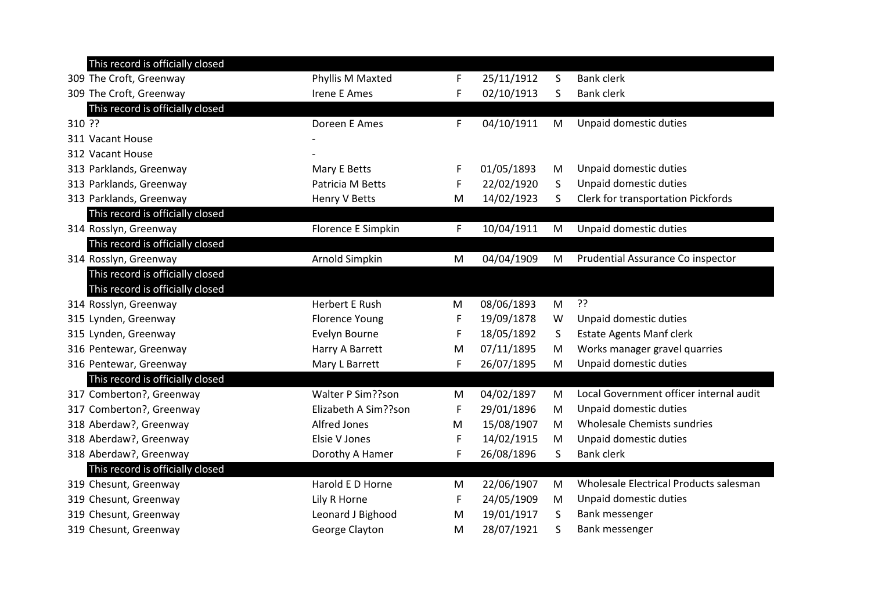|        | This record is officially closed |                       |   |            |   |                                         |
|--------|----------------------------------|-----------------------|---|------------|---|-----------------------------------------|
|        | 309 The Croft, Greenway          | Phyllis M Maxted      | F | 25/11/1912 | S | <b>Bank clerk</b>                       |
|        | 309 The Croft, Greenway          | <b>Irene E Ames</b>   | F | 02/10/1913 | S | <b>Bank clerk</b>                       |
|        | This record is officially closed |                       |   |            |   |                                         |
| 310 ?? |                                  | Doreen E Ames         | F | 04/10/1911 | M | Unpaid domestic duties                  |
|        | 311 Vacant House                 |                       |   |            |   |                                         |
|        | 312 Vacant House                 |                       |   |            |   |                                         |
|        | 313 Parklands, Greenway          | Mary E Betts          | F | 01/05/1893 | M | Unpaid domestic duties                  |
|        | 313 Parklands, Greenway          | Patricia M Betts      | F | 22/02/1920 | S | Unpaid domestic duties                  |
|        | 313 Parklands, Greenway          | Henry V Betts         | M | 14/02/1923 | S | Clerk for transportation Pickfords      |
|        | This record is officially closed |                       |   |            |   |                                         |
|        | 314 Rosslyn, Greenway            | Florence E Simpkin    | F | 10/04/1911 | M | Unpaid domestic duties                  |
|        | This record is officially closed |                       |   |            |   |                                         |
|        | 314 Rosslyn, Greenway            | Arnold Simpkin        | M | 04/04/1909 | M | Prudential Assurance Co inspector       |
|        | This record is officially closed |                       |   |            |   |                                         |
|        | This record is officially closed |                       |   |            |   |                                         |
|        | 314 Rosslyn, Greenway            | <b>Herbert E Rush</b> | M | 08/06/1893 | M | ??                                      |
|        | 315 Lynden, Greenway             | <b>Florence Young</b> | F | 19/09/1878 | W | Unpaid domestic duties                  |
|        | 315 Lynden, Greenway             | Evelyn Bourne         | F | 18/05/1892 | S | <b>Estate Agents Manf clerk</b>         |
|        | 316 Pentewar, Greenway           | Harry A Barrett       | M | 07/11/1895 | M | Works manager gravel quarries           |
|        | 316 Pentewar, Greenway           | Mary L Barrett        | F | 26/07/1895 | M | Unpaid domestic duties                  |
|        | This record is officially closed |                       |   |            |   |                                         |
|        | 317 Comberton?, Greenway         | Walter P Sim??son     | M | 04/02/1897 | M | Local Government officer internal audit |
|        | 317 Comberton?, Greenway         | Elizabeth A Sim??son  | F | 29/01/1896 | M | Unpaid domestic duties                  |
|        | 318 Aberdaw?, Greenway           | Alfred Jones          | M | 15/08/1907 | M | Wholesale Chemists sundries             |
|        | 318 Aberdaw?, Greenway           | Elsie V Jones         | F | 14/02/1915 | M | Unpaid domestic duties                  |
|        | 318 Aberdaw?, Greenway           | Dorothy A Hamer       | F | 26/08/1896 | S | <b>Bank clerk</b>                       |
|        | This record is officially closed |                       |   |            |   |                                         |
|        | 319 Chesunt, Greenway            | Harold E D Horne      | M | 22/06/1907 | M | Wholesale Electrical Products salesman  |
|        | 319 Chesunt, Greenway            | Lily R Horne          | F | 24/05/1909 | M | Unpaid domestic duties                  |
|        | 319 Chesunt, Greenway            | Leonard J Bighood     | M | 19/01/1917 | S | Bank messenger                          |
|        | 319 Chesunt, Greenway            | George Clayton        | M | 28/07/1921 | S | Bank messenger                          |